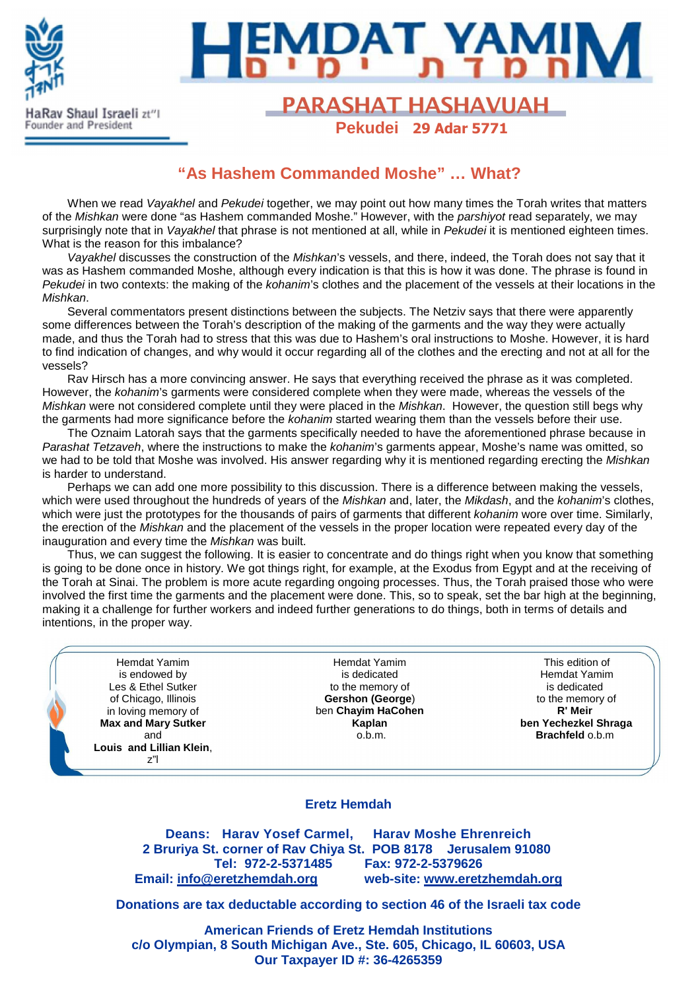

ounder and President



## Rav Shaul Israeli zt<sup>27</sup>l **PARASHAT HASHAVUAH Pekudei 29 Adar 5771**

# **"As Hashem Commanded Moshe" … What?**

When we read Vayakhel and Pekudei together, we may point out how many times the Torah writes that matters of the Mishkan were done "as Hashem commanded Moshe." However, with the parshiyot read separately, we may surprisingly note that in Vayakhel that phrase is not mentioned at all, while in Pekudei it is mentioned eighteen times. What is the reason for this imbalance?

Vayakhel discusses the construction of the Mishkan's vessels, and there, indeed, the Torah does not say that it was as Hashem commanded Moshe, although every indication is that this is how it was done. The phrase is found in Pekudei in two contexts: the making of the kohanim's clothes and the placement of the vessels at their locations in the Mishkan.

Several commentators present distinctions between the subjects. The Netziv says that there were apparently some differences between the Torah's description of the making of the garments and the way they were actually made, and thus the Torah had to stress that this was due to Hashem's oral instructions to Moshe. However, it is hard to find indication of changes, and why would it occur regarding all of the clothes and the erecting and not at all for the vessels?

Rav Hirsch has a more convincing answer. He says that everything received the phrase as it was completed. However, the kohanim's garments were considered complete when they were made, whereas the vessels of the Mishkan were not considered complete until they were placed in the Mishkan. However, the question still begs why the garments had more significance before the *kohanim* started wearing them than the vessels before their use.

The Oznaim Latorah says that the garments specifically needed to have the aforementioned phrase because in Parashat Tetzaveh, where the instructions to make the kohanim's garments appear, Moshe's name was omitted, so we had to be told that Moshe was involved. His answer regarding why it is mentioned regarding erecting the Mishkan is harder to understand.

Perhaps we can add one more possibility to this discussion. There is a difference between making the vessels, which were used throughout the hundreds of years of the Mishkan and, later, the Mikdash, and the kohanim's clothes, which were just the prototypes for the thousands of pairs of garments that different *kohanim* wore over time. Similarly, the erection of the Mishkan and the placement of the vessels in the proper location were repeated every day of the inauguration and every time the *Mishkan* was built.

Thus, we can suggest the following. It is easier to concentrate and do things right when you know that something is going to be done once in history. We got things right, for example, at the Exodus from Egypt and at the receiving of the Torah at Sinai. The problem is more acute regarding ongoing processes. Thus, the Torah praised those who were involved the first time the garments and the placement were done. This, so to speak, set the bar high at the beginning, making it a challenge for further workers and indeed further generations to do things, both in terms of details and intentions, in the proper way.

Hemdat Yamim is endowed by Les & Ethel Sutker of Chicago, Illinois in loving memory of **Max and Mary Sutker** and **Louis and Lillian Klein**, z"l

Hemdat Yamim is dedicated to the memory of **Gershon (George**) ben **Chayim HaCohen Kaplan** o.b.m.

This edition of Hemdat Yamim is dedicated to the memory of **R' Meir ben Yechezkel Shraga Brachfeld** o.b.m

#### **Eretz Hemdah**

**Deans: Harav Yosef Carmel, Harav Moshe Ehrenreich 2 Bruriya St. corner of Rav Chiya St. POB 8178 Jerusalem 91080 Tel: 972-2-5371485 Fax: 972-2-5379626 Email: info@eretzhemdah.org web-site: www.eretzhemdah.org**

**Donations are tax deductable according to section 46 of the Israeli tax code** 

**American Friends of Eretz Hemdah Institutions c/o Olympian, 8 South Michigan Ave., Ste. 605, Chicago, IL 60603, USA Our Taxpayer ID #: 36-4265359**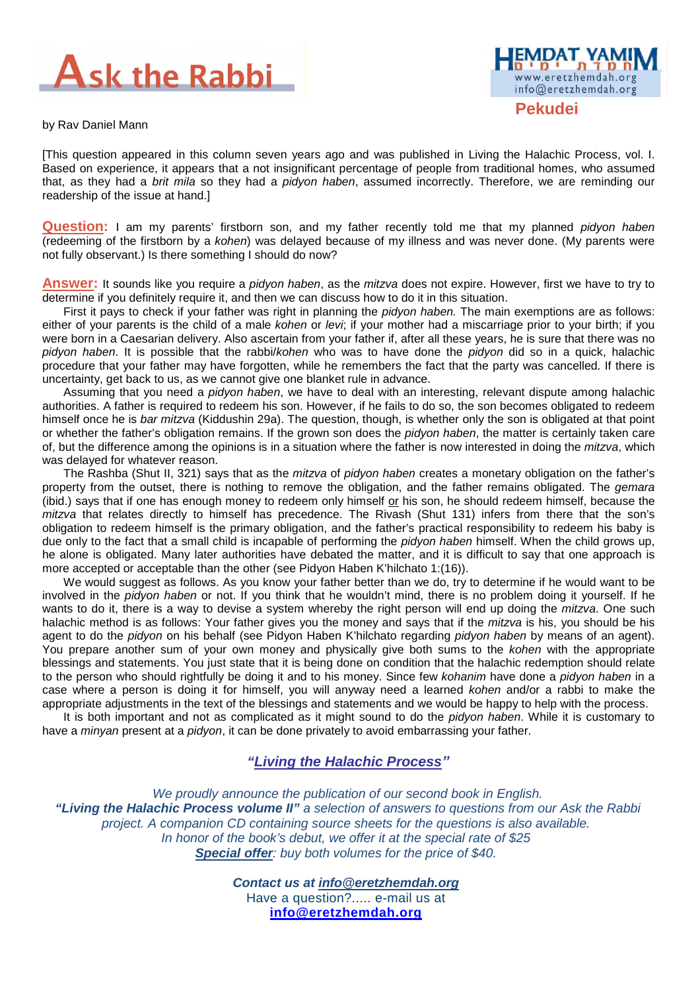

by Rav Daniel Mann

[This question appeared in this column seven years ago and was published in Living the Halachic Process, vol. I. Based on experience, it appears that a not insignificant percentage of people from traditional homes, who assumed that, as they had a brit mila so they had a pidyon haben, assumed incorrectly. Therefore, we are reminding our readership of the issue at hand.]

**Question:** I am my parents' firstborn son, and my father recently told me that my planned *pidyon haben* (redeeming of the firstborn by a kohen) was delayed because of my illness and was never done. (My parents were not fully observant.) Is there something I should do now?

**Answer:** It sounds like you require a pidyon haben, as the mitzva does not expire. However, first we have to try to determine if you definitely require it, and then we can discuss how to do it in this situation.

First it pays to check if your father was right in planning the *pidyon haben*. The main exemptions are as follows: either of your parents is the child of a male kohen or levi; if your mother had a miscarriage prior to your birth; if you were born in a Caesarian delivery. Also ascertain from your father if, after all these years, he is sure that there was no pidyon haben. It is possible that the rabbi/kohen who was to have done the pidyon did so in a quick, halachic procedure that your father may have forgotten, while he remembers the fact that the party was cancelled. If there is uncertainty, get back to us, as we cannot give one blanket rule in advance.

Assuming that you need a *pidyon haben*, we have to deal with an interesting, relevant dispute among halachic authorities. A father is required to redeem his son. However, if he fails to do so, the son becomes obligated to redeem himself once he is bar mitzva (Kiddushin 29a). The question, though, is whether only the son is obligated at that point or whether the father's obligation remains. If the grown son does the *pidyon haben*, the matter is certainly taken care of, but the difference among the opinions is in a situation where the father is now interested in doing the mitzva, which was delayed for whatever reason.

The Rashba (Shut II, 321) says that as the *mitzva* of *pidyon haben* creates a monetary obligation on the father's property from the outset, there is nothing to remove the obligation, and the father remains obligated. The *gemara* (ibid.) says that if one has enough money to redeem only himself or his son, he should redeem himself, because the mitzva that relates directly to himself has precedence. The Rivash (Shut 131) infers from there that the son's obligation to redeem himself is the primary obligation, and the father's practical responsibility to redeem his baby is due only to the fact that a small child is incapable of performing the pidyon haben himself. When the child grows up, he alone is obligated. Many later authorities have debated the matter, and it is difficult to say that one approach is more accepted or acceptable than the other (see Pidyon Haben K'hilchato 1:(16)).

We would suggest as follows. As you know your father better than we do, try to determine if he would want to be involved in the *pidyon haben* or not. If you think that he wouldn't mind, there is no problem doing it yourself. If he wants to do it, there is a way to devise a system whereby the right person will end up doing the *mitzva*. One such halachic method is as follows: Your father gives you the money and says that if the mitzva is his, you should be his agent to do the pidyon on his behalf (see Pidyon Haben K'hilchato regarding pidyon haben by means of an agent). You prepare another sum of your own money and physically give both sums to the kohen with the appropriate blessings and statements. You just state that it is being done on condition that the halachic redemption should relate to the person who should rightfully be doing it and to his money. Since few kohanim have done a pidyon haben in a case where a person is doing it for himself, you will anyway need a learned kohen and/or a rabbi to make the appropriate adjustments in the text of the blessings and statements and we would be happy to help with the process.

It is both important and not as complicated as it might sound to do the *pidyon haben*. While it is customary to have a *minyan* present at a *pidyon*, it can be done privately to avoid embarrassing your father.

### **"Living the Halachic Process***"*

We proudly announce the publication of our second book in English.  **"Living the Halachic Process volume II"** a selection of answers to questions from our Ask the Rabbi project. A companion CD containing source sheets for the questions is also available. In honor of the book's debut, we offer it at the special rate of \$25 **Special offer**: buy both volumes for the price of \$40.

> **Contact us at info@eretzhemdah.org** Have a question?..... e-mail us at **info@eretzhemdah.org**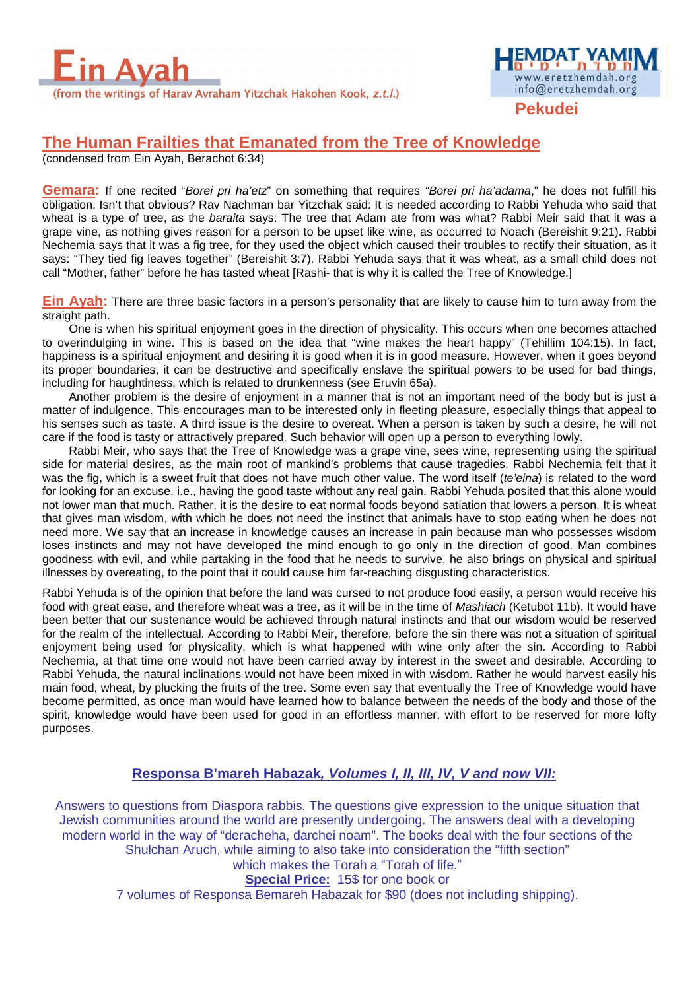

**Pekudei** 

www.eretzhemdah.org info@eretzhemdah.org

## **The Human Frailties that Emanated from the Tree of Knowledge**

(condensed from Ein Ayah, Berachot 6:34)

**Gemara:** If one recited "Borei pri ha'etz" on something that requires "Borei pri ha'adama," he does not fulfill his obligation. Isn't that obvious? Rav Nachman bar Yitzchak said: It is needed according to Rabbi Yehuda who said that wheat is a type of tree, as the *baraita* says: The tree that Adam ate from was what? Rabbi Meir said that it was a grape vine, as nothing gives reason for a person to be upset like wine, as occurred to Noach (Bereishit 9:21). Rabbi Nechemia says that it was a fig tree, for they used the object which caused their troubles to rectify their situation, as it says: "They tied fig leaves together" (Bereishit 3:7). Rabbi Yehuda says that it was wheat, as a small child does not call "Mother, father" before he has tasted wheat [Rashi- that is why it is called the Tree of Knowledge.]

**Ein Ayah:** There are three basic factors in a person's personality that are likely to cause him to turn away from the straight path.

One is when his spiritual enjoyment goes in the direction of physicality. This occurs when one becomes attached to overindulging in wine. This is based on the idea that "wine makes the heart happy" (Tehillim 104:15). In fact, happiness is a spiritual enjoyment and desiring it is good when it is in good measure. However, when it goes beyond its proper boundaries, it can be destructive and specifically enslave the spiritual powers to be used for bad things, including for haughtiness, which is related to drunkenness (see Eruvin 65a).

Another problem is the desire of enjoyment in a manner that is not an important need of the body but is just a matter of indulgence. This encourages man to be interested only in fleeting pleasure, especially things that appeal to his senses such as taste. A third issue is the desire to overeat. When a person is taken by such a desire, he will not care if the food is tasty or attractively prepared. Such behavior will open up a person to everything lowly.

Rabbi Meir, who says that the Tree of Knowledge was a grape vine, sees wine, representing using the spiritual side for material desires, as the main root of mankind's problems that cause tragedies. Rabbi Nechemia felt that it was the fig, which is a sweet fruit that does not have much other value. The word itself (te'eina) is related to the word for looking for an excuse, i.e., having the good taste without any real gain. Rabbi Yehuda posited that this alone would not lower man that much. Rather, it is the desire to eat normal foods beyond satiation that lowers a person. It is wheat that gives man wisdom, with which he does not need the instinct that animals have to stop eating when he does not need more. We say that an increase in knowledge causes an increase in pain because man who possesses wisdom loses instincts and may not have developed the mind enough to go only in the direction of good. Man combines goodness with evil, and while partaking in the food that he needs to survive, he also brings on physical and spiritual illnesses by overeating, to the point that it could cause him far-reaching disgusting characteristics.

Rabbi Yehuda is of the opinion that before the land was cursed to not produce food easily, a person would receive his food with great ease, and therefore wheat was a tree, as it will be in the time of Mashiach (Ketubot 11b). It would have been better that our sustenance would be achieved through natural instincts and that our wisdom would be reserved for the realm of the intellectual. According to Rabbi Meir, therefore, before the sin there was not a situation of spiritual enjoyment being used for physicality, which is what happened with wine only after the sin. According to Rabbi Nechemia, at that time one would not have been carried away by interest in the sweet and desirable. According to Rabbi Yehuda, the natural inclinations would not have been mixed in with wisdom. Rather he would harvest easily his main food, wheat, by plucking the fruits of the tree. Some even say that eventually the Tree of Knowledge would have become permitted, as once man would have learned how to balance between the needs of the body and those of the spirit, knowledge would have been used for good in an effortless manner, with effort to be reserved for more lofty purposes.

### **Responsa B'mareh Habazak, Volumes I, II, III, IV, V and now VII:**

Answers to questions from Diaspora rabbis. The questions give expression to the unique situation that Jewish communities around the world are presently undergoing. The answers deal with a developing modern world in the way of "deracheha, darchei noam". The books deal with the four sections of the Shulchan Aruch, while aiming to also take into consideration the "fifth section" which makes the Torah a "Torah of life."

**Special Price:** 15\$ for one book or

7 volumes of Responsa Bemareh Habazak for \$90 (does not including shipping).